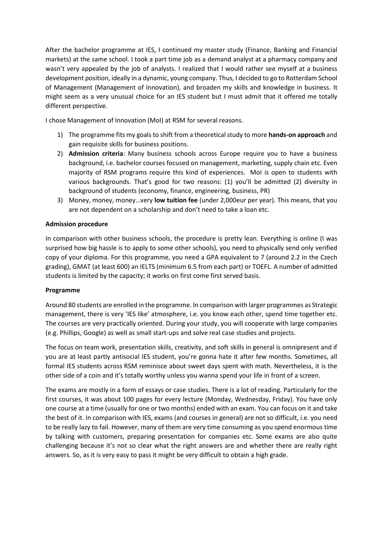After the bachelor programme at IES, I continued my master study (Finance, Banking and Financial markets) at the same school. I took a part time job as a demand analyst at a pharmacy company and wasn't very appealed by the job of analysts. I realized that I would rather see myself at a business development position, ideally in a dynamic, young company. Thus, I decided to go to Rotterdam School of Management (Management of Innovation), and broaden my skills and knowledge in business. It might seem as a very unusual choice for an IES student but I must admit that it offered me totally different perspective.

I chose Management of Innovation (MoI) at RSM for several reasons.

- 1) The programme fits my goals to shift from a theoretical study to more **hands-on approach** and gain requisite skills for business positions.
- 2) **Admission criteria**: Many business schools across Europe require you to have a business background, i.e. bachelor courses focused on management, marketing, supply chain etc. Even majority of RSM programs require this kind of experiences. MoI is open to students with various backgrounds. That's good for two reasons: (1) you'll be admitted (2) diversity in background of students (economy, finance, engineering, business, PR)
- 3) Money, money, money…very **low tuition fee** (under 2,000eur per year). This means, that you are not dependent on a scholarship and don't need to take a loan etc.

## **Admission procedure**

In comparison with other business schools, the procedure is pretty lean. Everything is online (I was surprised how big hassle is to apply to some other schools), you need to physically send only verified copy of your diploma. For this programme, you need a GPA equivalent to 7 (around 2.2 in the Czech grading), GMAT (at least 600) an IELTS (minimum 6.5 from each part) or TOEFL. A number of admitted students is limited by the capacity; it works on first come first served basis.

## **Programme**

Around 80 students are enrolled in the programme. In comparison with larger programmes as Strategic management, there is very 'IES like' atmosphere, i.e. you know each other, spend time together etc. The courses are very practically oriented. During your study, you will cooperate with large companies (e.g. Phillips, Google) as well as small start-ups and solve real case studies and projects.

The focus on team work, presentation skills, creativity, and soft skills in general is omnipresent and if you are at least partly antisocial IES student, you're gonna hate it after few months. Sometimes, all formal IES students across RSM reminisce about sweet days spent with math. Nevertheless, it is the other side of a coin and it's totally worthy unless you wanna spend your life in front of a screen.

The exams are mostly in a form of essays or case studies. There is a lot of reading. Particularly for the first courses, it was about 100 pages for every lecture (Monday, Wednesday, Friday). You have only one course at a time (usually for one or two months) ended with an exam. You can focus on it and take the best of it. In comparison with IES, exams (and courses in general) are not so difficult, i.e. you need to be really lazy to fail. However, many of them are very time consuming as you spend enormous time by talking with customers, preparing presentation for companies etc. Some exams are also quite challenging because it's not so clear what the right answers are and whether there are really right answers. So, as it is very easy to pass it might be very difficult to obtain a high grade.